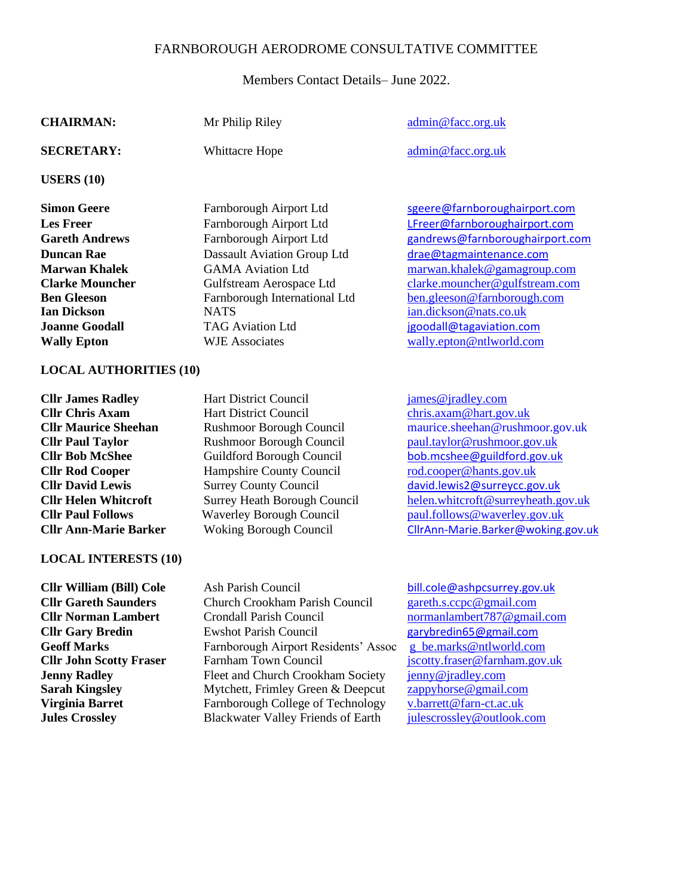## FARNBOROUGH AERODROME CONSULTATIVE COMMITTEE

Members Contact Details– June 2022.

| <b>CHAIRMAN:</b>                                                                                                                                                                                                                                                                                           | Mr Philip Riley                                                                                                                                                                                                                                                                                                                                    | admin@facc.org.uk                                                                                                                                                                                                                                                                                                   |
|------------------------------------------------------------------------------------------------------------------------------------------------------------------------------------------------------------------------------------------------------------------------------------------------------------|----------------------------------------------------------------------------------------------------------------------------------------------------------------------------------------------------------------------------------------------------------------------------------------------------------------------------------------------------|---------------------------------------------------------------------------------------------------------------------------------------------------------------------------------------------------------------------------------------------------------------------------------------------------------------------|
| <b>SECRETARY:</b>                                                                                                                                                                                                                                                                                          | Whittacre Hope                                                                                                                                                                                                                                                                                                                                     | admin@facc.org.uk                                                                                                                                                                                                                                                                                                   |
| USERS $(10)$                                                                                                                                                                                                                                                                                               |                                                                                                                                                                                                                                                                                                                                                    |                                                                                                                                                                                                                                                                                                                     |
| <b>Simon Geere</b><br><b>Les Freer</b><br><b>Gareth Andrews</b><br><b>Duncan Rae</b><br><b>Marwan Khalek</b><br><b>Clarke Mouncher</b><br><b>Ben Gleeson</b><br><b>Ian Dickson</b><br><b>Joanne Goodall</b><br><b>Wally Epton</b><br><b>LOCAL AUTHORITIES (10)</b>                                         | Farnborough Airport Ltd<br>Farnborough Airport Ltd<br>Farnborough Airport Ltd<br><b>Dassault Aviation Group Ltd</b><br><b>GAMA Aviation Ltd</b><br>Gulfstream Aerospace Ltd<br>Farnborough International Ltd<br><b>NATS</b><br><b>TAG Aviation Ltd</b><br><b>WJE Associates</b>                                                                    | sgeere@farnboroughairport.com<br>LFreer@farnboroughairport.com<br>gandrews@farnboroughairport.com<br>drae@tagmaintenance.com<br>marwan.khalek@gamagroup.com<br>clarke.mouncher@gulfstream.com<br>ben.gleeson@farnborough.com<br>ian.dickson@nats.co.uk<br>jgoodall@tagaviation.com<br>wally.epton@ntlworld.com      |
| <b>Cllr James Radley</b><br><b>Cllr Chris Axam</b><br><b>Cllr Maurice Sheehan</b><br><b>Cllr Paul Taylor</b><br><b>Cllr Bob McShee</b><br><b>Cllr Rod Cooper</b><br><b>Cllr David Lewis</b><br><b>Cllr Helen Whitcroft</b><br><b>Cllr Paul Follows</b><br><b>Cllr Ann-Marie Barker</b>                     | <b>Hart District Council</b><br><b>Hart District Council</b><br>Rushmoor Borough Council<br>Rushmoor Borough Council<br>Guildford Borough Council<br>Hampshire County Council<br><b>Surrey County Council</b><br><b>Surrey Heath Borough Council</b><br><b>Waverley Borough Council</b><br><b>Woking Borough Council</b>                           | james@jradley.com<br>chris.axam@hart.gov.uk<br>maurice.sheehan@rushmoor.gov.uk<br>paul.taylor@rushmoor.gov.uk<br>bob.mcshee@guildford.gov.uk<br>rod.cooper@hants.gov.uk<br>david.lewis2@surreycc.gov.uk<br>helen.whitcroft@surreyheath.gov.uk<br>paul.follows@waverley.gov.uk<br>CllrAnn-Marie.Barker@woking.gov.uk |
| <b>LOCAL INTERESTS (10)</b><br><b>Cllr William (Bill) Cole</b><br><b>Cllr Gareth Saunders</b><br><b>Cllr Norman Lambert</b><br><b>Cllr Gary Bredin</b><br><b>Geoff Marks</b><br><b>Cllr John Scotty Fraser</b><br><b>Jenny Radley</b><br><b>Sarah Kingsley</b><br>Virginia Barret<br><b>Jules Crossley</b> | Ash Parish Council<br><b>Church Crookham Parish Council</b><br>Crondall Parish Council<br><b>Ewshot Parish Council</b><br>Farnborough Airport Residents' Assoc<br>Farnham Town Council<br>Fleet and Church Crookham Society<br>Mytchett, Frimley Green & Deepcut<br>Farnborough College of Technology<br><b>Blackwater Valley Friends of Earth</b> | bill.cole@ashpcsurrey.gov.uk<br>gareth.s.ccpc@gmail.com<br>normanlambert787@gmail.com<br>garybredin65@gmail.com<br>g_be.marks@ntlworld.com<br>jscotty.fraser@farnham.gov.uk<br>jenny@jradley.com<br>zappyhorse@gmail.com<br>v.barrett@farn-ct.ac.uk<br>julescrossley@outlook.com                                    |